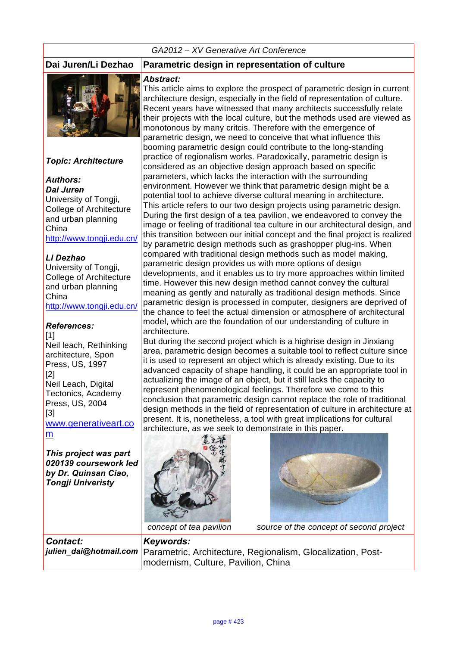#### *GA2012 – XV Generative Art Conference*



#### *Topic: Architecture*

*Authors: Dai Juren* University of Tongji, College of Architecture and urban planning China http://www.tongji.edu.cn/

#### *Li Dezhao*

University of Tongji, College of Architecture and urban planning China http://www.tongji.edu.cn/

#### *References:*

[1] Neil leach, Rethinking architecture, Spon Press, US, 1997 [2] Neil Leach, Digital Tectonics, Academy Press, US, 2004 [3] www.generativeart.co m

*This project was part 020139 coursework led by Dr. Quinsan Ciao, Tongji Univeristy*

#### **Dai Juren/Li Dezhao Parametric design in representation of culture**

#### *Abstract:*

This article aims to explore the prospect of parametric design in current architecture design, especially in the field of representation of culture. Recent years have witnessed that many architects successfully relate their projects with the local culture, but the methods used are viewed as monotonous by many critcis. Therefore with the emergence of parametric design, we need to conceive that what influence this booming parametric design could contribute to the long-standing practice of regionalism works. Paradoxically, parametric design is considered as an objective design approach based on specific parameters, which lacks the interaction with the surrounding environment. However we think that parametric design might be a potential tool to achieve diverse cultural meaning in architecture. This article refers to our two design projects using parametric design. During the first design of a tea pavilion, we endeavored to convey the image or feeling of traditional tea culture in our architectural design, and this transition between our initial concept and the final project is realized by parametric design methods such as grashopper plug-ins. When compared with traditional design methods such as model making, parametric design provides us with more options of design developments, and it enables us to try more approaches within limited time. However this new design method cannot convey the cultural meaning as gently and naturally as traditional design methods. Since parametric design is processed in computer, designers are deprived of the chance to feel the actual dimension or atmosphere of architectural model, which are the foundation of our understanding of culture in architecture.

But during the second project which is a highrise design in Jinxiang area, parametric design becomes a suitable tool to reflect culture since it is used to represent an object which is already existing. Due to its advanced capacity of shape handling, it could be an appropriate tool in actualizing the image of an object, but it still lacks the capacity to represent phenomenological feelings. Therefore we come to this conclusion that parametric design cannot replace the role of traditional design methods in the field of representation of culture in architecture at present. It is, nonetheless, a tool with great implications for cultural architecture, as we seek to demonstrate in this paper.





*concept of tea pavilion source of the concept of second project* 

*Contact: julien\_dai@hotmail.com Keywords:*  Parametric, Architecture, Regionalism, Glocalization, Postmodernism, Culture, Pavilion, China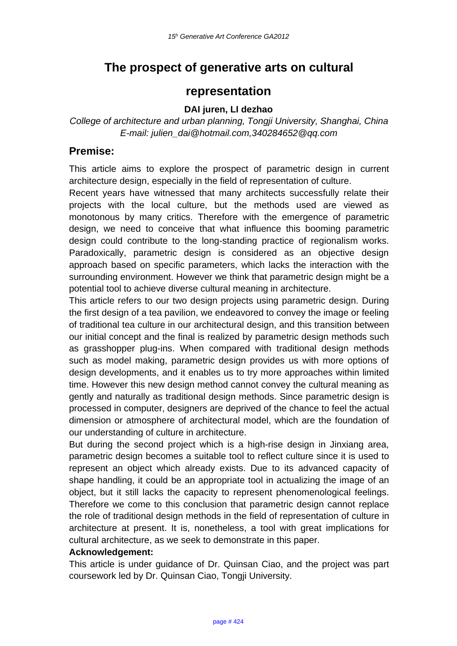# **The prospect of generative arts on cultural**

## **representation**

#### **DAI juren, LI dezhao**

*College of architecture and urban planning, Tongji University, Shanghai, China E-mail: julien\_dai@hotmail.com,340284652@qq.com*

### **Premise:**

This article aims to explore the prospect of parametric design in current architecture design, especially in the field of representation of culture.

Recent years have witnessed that many architects successfully relate their projects with the local culture, but the methods used are viewed as monotonous by many critics. Therefore with the emergence of parametric design, we need to conceive that what influence this booming parametric design could contribute to the long-standing practice of regionalism works. Paradoxically, parametric design is considered as an objective design approach based on specific parameters, which lacks the interaction with the surrounding environment. However we think that parametric design might be a potential tool to achieve diverse cultural meaning in architecture.

This article refers to our two design projects using parametric design. During the first design of a tea pavilion, we endeavored to convey the image or feeling of traditional tea culture in our architectural design, and this transition between our initial concept and the final is realized by parametric design methods such as grasshopper plug-ins. When compared with traditional design methods such as model making, parametric design provides us with more options of design developments, and it enables us to try more approaches within limited time. However this new design method cannot convey the cultural meaning as gently and naturally as traditional design methods. Since parametric design is processed in computer, designers are deprived of the chance to feel the actual dimension or atmosphere of architectural model, which are the foundation of our understanding of culture in architecture.

But during the second project which is a high-rise design in Jinxiang area, parametric design becomes a suitable tool to reflect culture since it is used to represent an object which already exists. Due to its advanced capacity of shape handling, it could be an appropriate tool in actualizing the image of an object, but it still lacks the capacity to represent phenomenological feelings. Therefore we come to this conclusion that parametric design cannot replace the role of traditional design methods in the field of representation of culture in architecture at present. It is, nonetheless, a tool with great implications for cultural architecture, as we seek to demonstrate in this paper.

#### **Acknowledgement:**

This article is under guidance of Dr. Quinsan Ciao, and the project was part coursework led by Dr. Quinsan Ciao, Tongji University.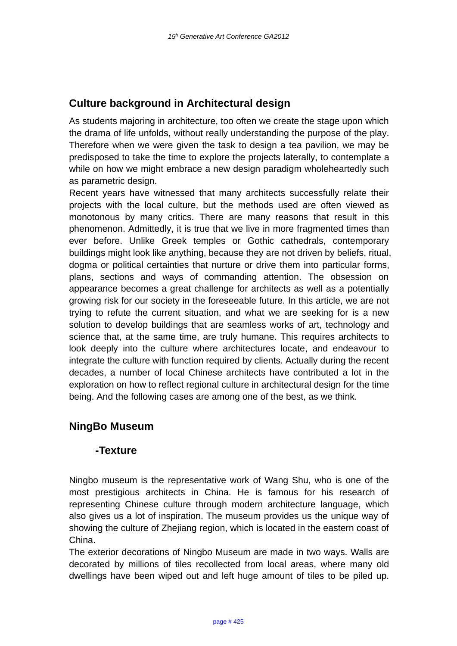## **Culture background in Architectural design**

As students majoring in architecture, too often we create the stage upon which the drama of life unfolds, without really understanding the purpose of the play. Therefore when we were given the task to design a tea pavilion, we may be predisposed to take the time to explore the projects laterally, to contemplate a while on how we might embrace a new design paradigm wholeheartedly such as parametric design.

Recent years have witnessed that many architects successfully relate their projects with the local culture, but the methods used are often viewed as monotonous by many critics. There are many reasons that result in this phenomenon. Admittedly, it is true that we live in more fragmented times than ever before. Unlike Greek temples or Gothic cathedrals, contemporary buildings might look like anything, because they are not driven by beliefs, ritual, dogma or political certainties that nurture or drive them into particular forms, plans, sections and ways of commanding attention. The obsession on appearance becomes a great challenge for architects as well as a potentially growing risk for our society in the foreseeable future. In this article, we are not trying to refute the current situation, and what we are seeking for is a new solution to develop buildings that are seamless works of art, technology and science that, at the same time, are truly humane. This requires architects to look deeply into the culture where architectures locate, and endeavour to integrate the culture with function required by clients. Actually during the recent decades, a number of local Chinese architects have contributed a lot in the exploration on how to reflect regional culture in architectural design for the time being. And the following cases are among one of the best, as we think.

## **NingBo Museum**

#### **-Texture**

Ningbo museum is the representative work of Wang Shu, who is one of the most prestigious architects in China. He is famous for his research of representing Chinese culture through modern architecture language, which also gives us a lot of inspiration. The museum provides us the unique way of showing the culture of Zhejiang region, which is located in the eastern coast of China.

The exterior decorations of Ningbo Museum are made in two ways. Walls are decorated by millions of tiles recollected from local areas, where many old dwellings have been wiped out and left huge amount of tiles to be piled up.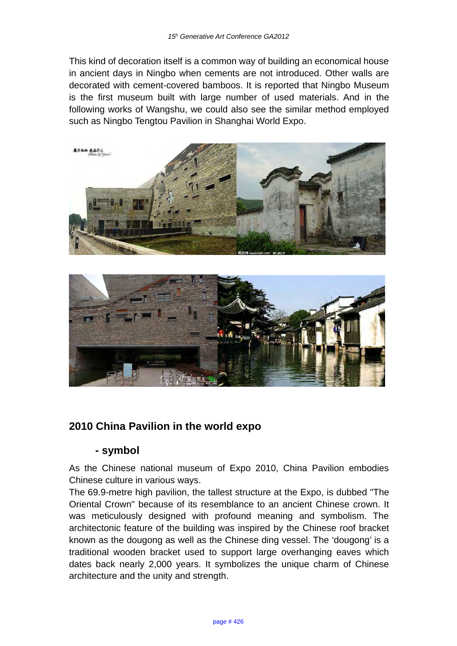This kind of decoration itself is a common way of building an economical house in ancient days in Ningbo when cements are not introduced. Other walls are decorated with cement-covered bamboos. It is reported that Ningbo Museum is the first museum built with large number of used materials. And in the following works of Wangshu, we could also see the similar method employed such as Ningbo Tengtou Pavilion in Shanghai World Expo.





## **2010 China Pavilion in the world expo**

#### **- symbol**

As the Chinese national museum of Expo 2010, China Pavilion embodies Chinese culture in various ways.

The 69.9-metre high pavilion, the tallest structure at the Expo, is dubbed "The Oriental Crown" because of its resemblance to an ancient Chinese crown. It was meticulously designed with profound meaning and symbolism. The architectonic feature of the building was inspired by the Chinese roof bracket known as the dougong as well as the Chinese ding vessel. The 'dougong' is a traditional wooden bracket used to support large overhanging eaves which dates back nearly 2,000 years. It symbolizes the unique charm of Chinese architecture and the unity and strength.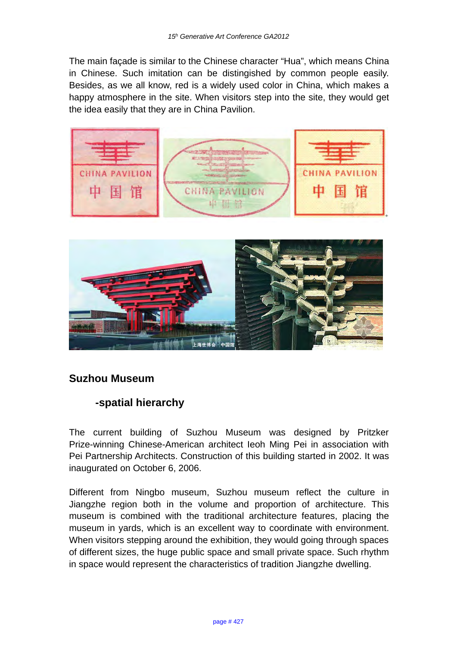The main façade is similar to the Chinese character "Hua", which means China in Chinese. Such imitation can be distingished by common people easily. Besides, as we all know, red is a widely used color in China, which makes a happy atmosphere in the site. When visitors step into the site, they would get the idea easily that they are in China Pavilion.





## **Suzhou Museum**

## **-spatial hierarchy**

The current building of Suzhou Museum was designed by Pritzker Prize-winning Chinese-American architect Ieoh Ming Pei in association with Pei Partnership Architects. Construction of this building started in 2002. It was inaugurated on October 6, 2006.

Different from Ningbo museum, Suzhou museum reflect the culture in Jiangzhe region both in the volume and proportion of architecture. This museum is combined with the traditional architecture features, placing the museum in yards, which is an excellent way to coordinate with environment. When visitors stepping around the exhibition, they would going through spaces of different sizes, the huge public space and small private space. Such rhythm in space would represent the characteristics of tradition Jiangzhe dwelling.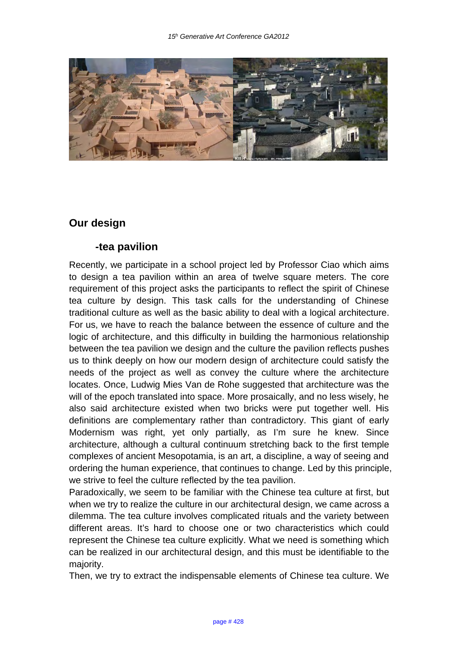

## **Our design**

#### **-tea pavilion**

Recently, we participate in a school project led by Professor Ciao which aims to design a tea pavilion within an area of twelve square meters. The core requirement of this project asks the participants to reflect the spirit of Chinese tea culture by design. This task calls for the understanding of Chinese traditional culture as well as the basic ability to deal with a logical architecture. For us, we have to reach the balance between the essence of culture and the logic of architecture, and this difficulty in building the harmonious relationship between the tea pavilion we design and the culture the pavilion reflects pushes us to think deeply on how our modern design of architecture could satisfy the needs of the project as well as convey the culture where the architecture locates. Once, Ludwig Mies Van de Rohe suggested that architecture was the will of the epoch translated into space. More prosaically, and no less wisely, he also said architecture existed when two bricks were put together well. His definitions are complementary rather than contradictory. This giant of early Modernism was right, yet only partially, as I'm sure he knew. Since architecture, although a cultural continuum stretching back to the first temple complexes of ancient Mesopotamia, is an art, a discipline, a way of seeing and ordering the human experience, that continues to change. Led by this principle, we strive to feel the culture reflected by the tea pavilion.

Paradoxically, we seem to be familiar with the Chinese tea culture at first, but when we try to realize the culture in our architectural design, we came across a dilemma. The tea culture involves complicated rituals and the variety between different areas. It's hard to choose one or two characteristics which could represent the Chinese tea culture explicitly. What we need is something which can be realized in our architectural design, and this must be identifiable to the majority.

Then, we try to extract the indispensable elements of Chinese tea culture. We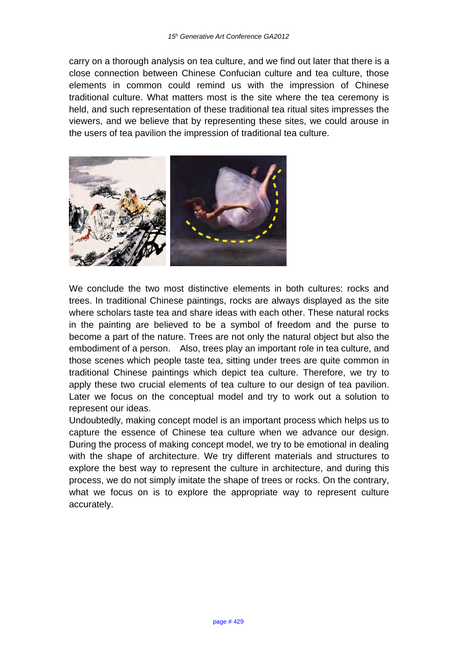carry on a thorough analysis on tea culture, and we find out later that there is a close connection between Chinese Confucian culture and tea culture, those elements in common could remind us with the impression of Chinese traditional culture. What matters most is the site where the tea ceremony is held, and such representation of these traditional tea ritual sites impresses the viewers, and we believe that by representing these sites, we could arouse in the users of tea pavilion the impression of traditional tea culture.



We conclude the two most distinctive elements in both cultures: rocks and trees. In traditional Chinese paintings, rocks are always displayed as the site where scholars taste tea and share ideas with each other. These natural rocks in the painting are believed to be a symbol of freedom and the purse to become a part of the nature. Trees are not only the natural object but also the embodiment of a person. Also, trees play an important role in tea culture, and those scenes which people taste tea, sitting under trees are quite common in traditional Chinese paintings which depict tea culture. Therefore, we try to apply these two crucial elements of tea culture to our design of tea pavilion. Later we focus on the conceptual model and try to work out a solution to represent our ideas.

Undoubtedly, making concept model is an important process which helps us to capture the essence of Chinese tea culture when we advance our design. During the process of making concept model, we try to be emotional in dealing with the shape of architecture. We try different materials and structures to explore the best way to represent the culture in architecture, and during this process, we do not simply imitate the shape of trees or rocks. On the contrary, what we focus on is to explore the appropriate way to represent culture accurately.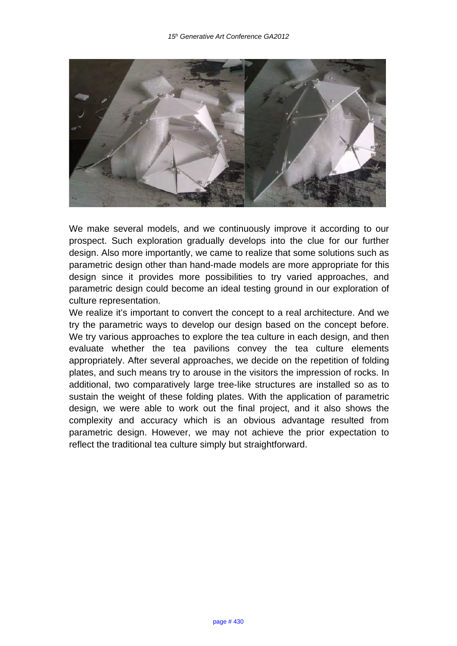

We make several models, and we continuously improve it according to our prospect. Such exploration gradually develops into the clue for our further design. Also more importantly, we came to realize that some solutions such as parametric design other than hand-made models are more appropriate for this design since it provides more possibilities to try varied approaches, and parametric design could become an ideal testing ground in our exploration of culture representation.

We realize it's important to convert the concept to a real architecture. And we try the parametric ways to develop our design based on the concept before. We try various approaches to explore the tea culture in each design, and then evaluate whether the tea pavilions convey the tea culture elements appropriately. After several approaches, we decide on the repetition of folding plates, and such means try to arouse in the visitors the impression of rocks. In additional, two comparatively large tree-like structures are installed so as to sustain the weight of these folding plates. With the application of parametric design, we were able to work out the final project, and it also shows the complexity and accuracy which is an obvious advantage resulted from parametric design. However, we may not achieve the prior expectation to reflect the traditional tea culture simply but straightforward.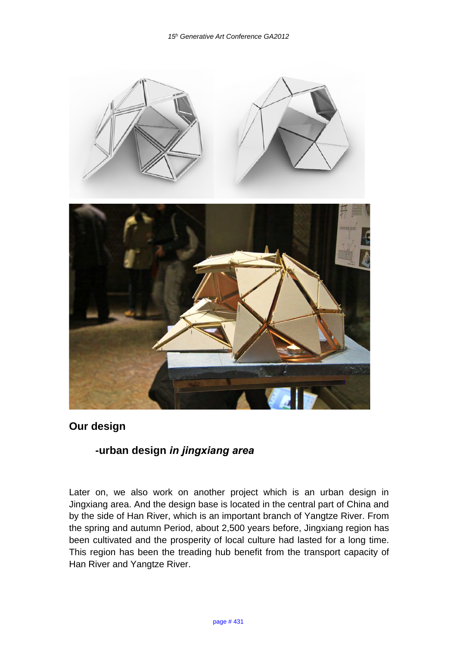

## **Our design**

## **-urban design** *in jingxiang area*

Later on, we also work on another project which is an urban design in Jingxiang area. And the design base is located in the central part of China and by the side of Han River, which is an important branch of Yangtze River. From the spring and autumn Period, about 2,500 years before, Jingxiang region has been cultivated and the prosperity of local culture had lasted for a long time. This region has been the treading hub benefit from the transport capacity of Han River and Yangtze River.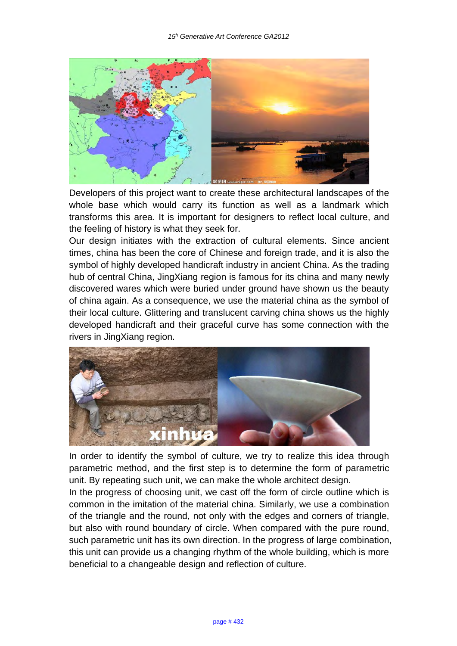

Developers of this project want to create these architectural landscapes of the whole base which would carry its function as well as a landmark which transforms this area. It is important for designers to reflect local culture, and the feeling of history is what they seek for.

Our design initiates with the extraction of cultural elements. Since ancient times, china has been the core of Chinese and foreign trade, and it is also the symbol of highly developed handicraft industry in ancient China. As the trading hub of central China, JingXiang region is famous for its china and many newly discovered wares which were buried under ground have shown us the beauty of china again. As a consequence, we use the material china as the symbol of their local culture. Glittering and translucent carving china shows us the highly developed handicraft and their graceful curve has some connection with the rivers in JingXiang region.

![](_page_9_Picture_4.jpeg)

In order to identify the symbol of culture, we try to realize this idea through parametric method, and the first step is to determine the form of parametric unit. By repeating such unit, we can make the whole architect design.

In the progress of choosing unit, we cast off the form of circle outline which is common in the imitation of the material china. Similarly, we use a combination of the triangle and the round, not only with the edges and corners of triangle, but also with round boundary of circle. When compared with the pure round, such parametric unit has its own direction. In the progress of large combination, this unit can provide us a changing rhythm of the whole building, which is more beneficial to a changeable design and reflection of culture.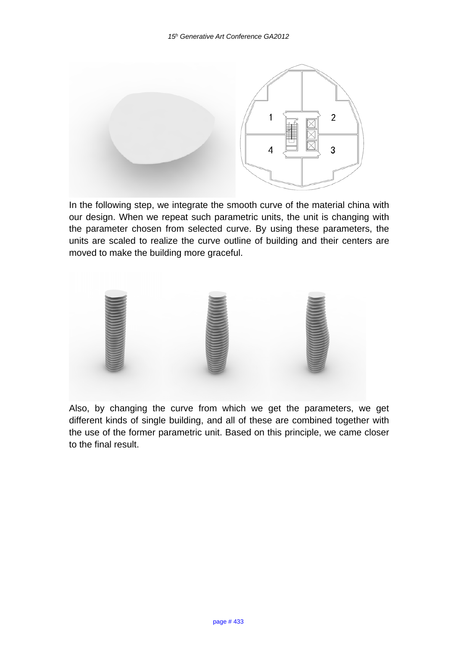![](_page_10_Figure_1.jpeg)

In the following step, we integrate the smooth curve of the material china with our design. When we repeat such parametric units, the unit is changing with the parameter chosen from selected curve. By using these parameters, the units are scaled to realize the curve outline of building and their centers are moved to make the building more graceful.

![](_page_10_Picture_3.jpeg)

Also, by changing the curve from which we get the parameters, we get different kinds of single building, and all of these are combined together with the use of the former parametric unit. Based on this principle, we came closer to the final result.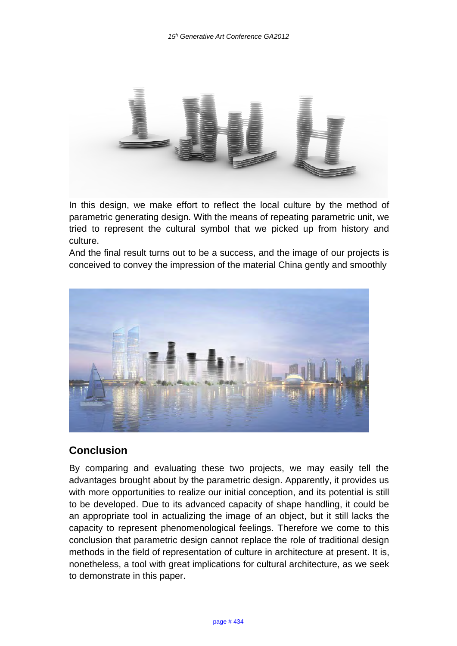![](_page_11_Picture_1.jpeg)

In this design, we make effort to reflect the local culture by the method of parametric generating design. With the means of repeating parametric unit, we tried to represent the cultural symbol that we picked up from history and culture.

And the final result turns out to be a success, and the image of our projects is conceived to convey the impression of the material China gently and smoothly

![](_page_11_Picture_4.jpeg)

## **Conclusion**

By comparing and evaluating these two projects, we may easily tell the advantages brought about by the parametric design. Apparently, it provides us with more opportunities to realize our initial conception, and its potential is still to be developed. Due to its advanced capacity of shape handling, it could be an appropriate tool in actualizing the image of an object, but it still lacks the capacity to represent phenomenological feelings. Therefore we come to this conclusion that parametric design cannot replace the role of traditional design methods in the field of representation of culture in architecture at present. It is, nonetheless, a tool with great implications for cultural architecture, as we seek to demonstrate in this paper.